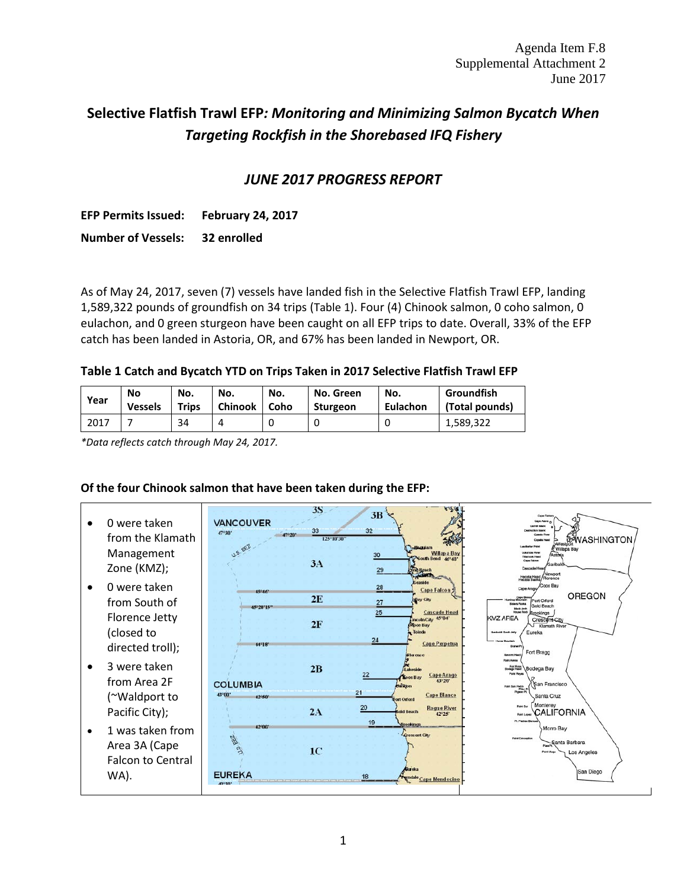# **Selective Flatfish Trawl EFP***: Monitoring and Minimizing Salmon Bycatch When Targeting Rockfish in the Shorebased IFQ Fishery*

## *JUNE 2017 PROGRESS REPORT*

**EFP Permits Issued: February 24, 2017 Number of Vessels: 32 enrolled**

As of May 24, 2017, seven (7) vessels have landed fish in the Selective Flatfish Trawl EFP, landing 1,589,322 pounds of groundfish on 34 trips [\(Table 1\)](#page-0-0). Four (4) Chinook salmon, 0 coho salmon, 0 eulachon, and 0 green sturgeon have been caught on all EFP trips to date. Overall, 33% of the EFP catch has been landed in Astoria, OR, and 67% has been landed in Newport, OR.

#### <span id="page-0-0"></span>**Table 1 Catch and Bycatch YTD on Trips Taken in 2017 Selective Flatfish Trawl EFP**

| Year | No             | No.   | No.            | No.  | No. Green       | No.      | Groundfish     |
|------|----------------|-------|----------------|------|-----------------|----------|----------------|
|      | <b>Vessels</b> | Trips | <b>Chinook</b> | Coho | <b>Sturgeon</b> | Eulachon | (Total pounds) |
| 2017 |                | 34    |                |      |                 |          | 1,589,322      |

*\*Data reflects catch through May 24, 2017.*

### **Of the four Chinook salmon that have been taken during the EFP:**